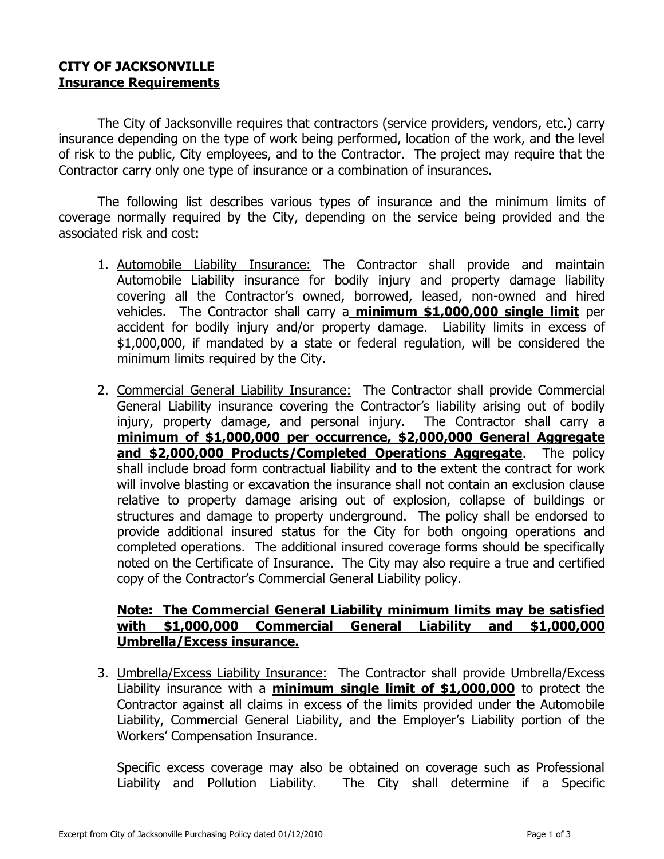## **CITY OF JACKSONVILLE Insurance Requirements**

The City of Jacksonville requires that contractors (service providers, vendors, etc.) carry insurance depending on the type of work being performed, location of the work, and the level of risk to the public, City employees, and to the Contractor. The project may require that the Contractor carry only one type of insurance or a combination of insurances.

The following list describes various types of insurance and the minimum limits of coverage normally required by the City, depending on the service being provided and the associated risk and cost:

- 1. Automobile Liability Insurance: The Contractor shall provide and maintain Automobile Liability insurance for bodily injury and property damage liability covering all the Contractor's owned, borrowed, leased, non-owned and hired vehicles. The Contractor shall carry a **minimum \$1,000,000 single limit** per accident for bodily injury and/or property damage. Liability limits in excess of \$1,000,000, if mandated by a state or federal regulation, will be considered the minimum limits required by the City.
- 2. Commercial General Liability Insurance: The Contractor shall provide Commercial General Liability insurance covering the Contractor's liability arising out of bodily injury, property damage, and personal injury. The Contractor shall carry a **minimum of \$1,000,000 per occurrence, \$2,000,000 General Aggregate and \$2,000,000 Products/Completed Operations Aggregate**. The policy shall include broad form contractual liability and to the extent the contract for work will involve blasting or excavation the insurance shall not contain an exclusion clause relative to property damage arising out of explosion, collapse of buildings or structures and damage to property underground. The policy shall be endorsed to provide additional insured status for the City for both ongoing operations and completed operations. The additional insured coverage forms should be specifically noted on the Certificate of Insurance. The City may also require a true and certified copy of the Contractor's Commercial General Liability policy.

## **Note: The Commercial General Liability minimum limits may be satisfied with \$1,000,000 Commercial General Liability and \$1,000,000 Umbrella/Excess insurance.**

3. Umbrella/Excess Liability Insurance: The Contractor shall provide Umbrella/Excess Liability insurance with a **minimum single limit of \$1,000,000** to protect the Contractor against all claims in excess of the limits provided under the Automobile Liability, Commercial General Liability, and the Employer's Liability portion of the Workers' Compensation Insurance.

Specific excess coverage may also be obtained on coverage such as Professional Liability and Pollution Liability. The City shall determine if a Specific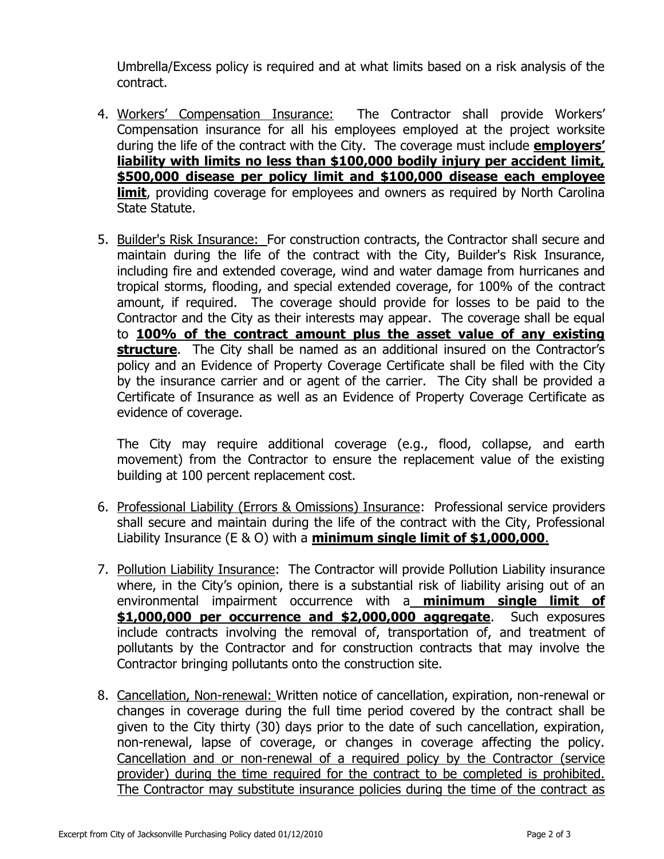Umbrella/Excess policy is required and at what limits based on a risk analysis of the contract.

- 4. Workers' Compensation Insurance: The Contractor shall provide Workers' Compensation insurance for all his employees employed at the project worksite during the life of the contract with the City. The coverage must include **employers' liability with limits no less than \$100,000 bodily injury per accident limit, \$500,000 disease per policy limit and \$100,000 disease each employee limit**, providing coverage for employees and owners as required by North Carolina State Statute.
- 5. Builder's Risk Insurance: For construction contracts, the Contractor shall secure and maintain during the life of the contract with the City, Builder's Risk Insurance, including fire and extended coverage, wind and water damage from hurricanes and tropical storms, flooding, and special extended coverage, for 100% of the contract amount, if required. The coverage should provide for losses to be paid to the Contractor and the City as their interests may appear. The coverage shall be equal to **100% of the contract amount plus the asset value of any existing structure**. The City shall be named as an additional insured on the Contractor's policy and an Evidence of Property Coverage Certificate shall be filed with the City by the insurance carrier and or agent of the carrier. The City shall be provided a Certificate of Insurance as well as an Evidence of Property Coverage Certificate as evidence of coverage.

The City may require additional coverage (e.g., flood, collapse, and earth movement) from the Contractor to ensure the replacement value of the existing building at 100 percent replacement cost.

- 6. Professional Liability (Errors & Omissions) Insurance: Professional service providers shall secure and maintain during the life of the contract with the City, Professional Liability Insurance (E & O) with a **minimum single limit of \$1,000,000**.
- 7. Pollution Liability Insurance: The Contractor will provide Pollution Liability insurance where, in the City's opinion, there is a substantial risk of liability arising out of an environmental impairment occurrence with a **minimum single limit of \$1,000,000 per occurrence and \$2,000,000 aggregate**. Such exposures include contracts involving the removal of, transportation of, and treatment of pollutants by the Contractor and for construction contracts that may involve the Contractor bringing pollutants onto the construction site.
- 8. Cancellation, Non-renewal: Written notice of cancellation, expiration, non-renewal or changes in coverage during the full time period covered by the contract shall be given to the City thirty (30) days prior to the date of such cancellation, expiration, non-renewal, lapse of coverage, or changes in coverage affecting the policy. Cancellation and or non-renewal of a required policy by the Contractor (service provider) during the time required for the contract to be completed is prohibited. The Contractor may substitute insurance policies during the time of the contract as